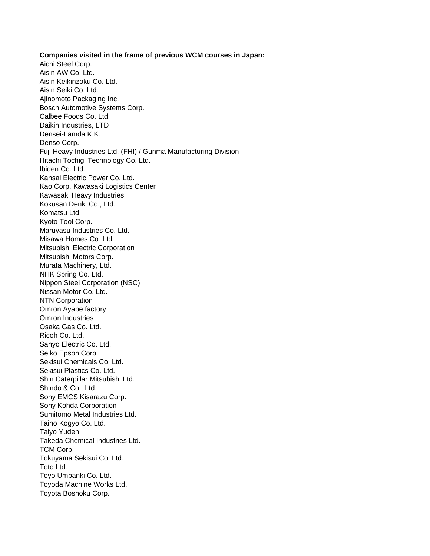**Companies visited in the frame of previous WCM courses in Japan:** Aichi Steel Corp. Aisin AW Co. Ltd. Aisin Keikinzoku Co. Ltd. Aisin Seiki Co. Ltd. Ajinomoto Packaging Inc. Bosch Automotive Systems Corp. Calbee Foods Co. Ltd. Daikin Industries, LTD Densei-Lamda K.K. Denso Corp. Fuji Heavy Industries Ltd. (FHI) / Gunma Manufacturing Division Hitachi Tochigi Technology Co. Ltd. Ibiden Co. Ltd. Kansai Electric Power Co. Ltd. Kao Corp. Kawasaki Logistics Center Kawasaki Heavy Industries Kokusan Denki Co., Ltd. Komatsu Ltd. Kyoto Tool Corp. Maruyasu Industries Co. Ltd. Misawa Homes Co. Ltd. Mitsubishi Electric Corporation Mitsubishi Motors Corp. Murata Machinery, Ltd. NHK Spring Co. Ltd. Nippon Steel Corporation (NSC) Nissan Motor Co. Ltd. NTN Corporation Omron Ayabe factory Omron Industries Osaka Gas Co. Ltd. Ricoh Co. Ltd. Sanyo Electric Co. Ltd. Seiko Epson Corp. Sekisui Chemicals Co. Ltd. Sekisui Plastics Co. Ltd. Shin Caterpillar Mitsubishi Ltd. Shindo & Co., Ltd. Sony EMCS Kisarazu Corp. Sony Kohda Corporation Sumitomo Metal Industries Ltd. Taiho Kogyo Co. Ltd. Taiyo Yuden Takeda Chemical Industries Ltd. TCM Corp. Tokuyama Sekisui Co. Ltd. Toto Ltd. Toyo Umpanki Co. Ltd. Toyoda Machine Works Ltd. Toyota Boshoku Corp.